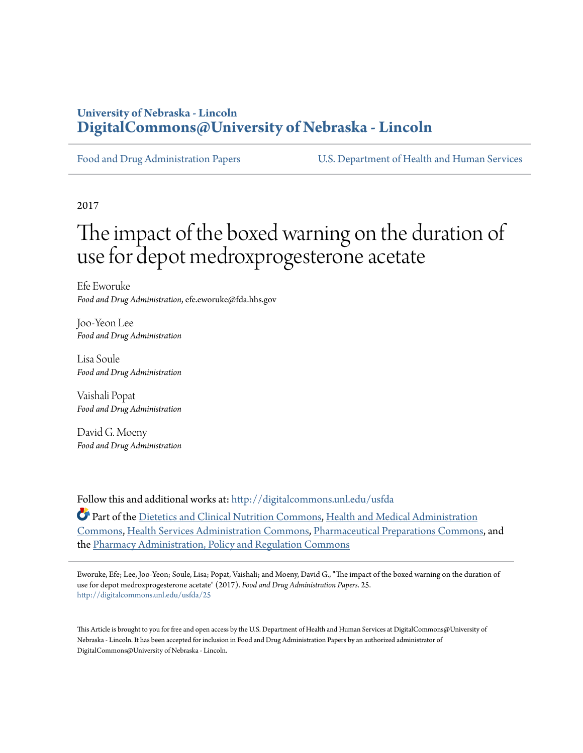# **University of Nebraska - Lincoln [DigitalCommons@University of Nebraska - Lincoln](http://digitalcommons.unl.edu?utm_source=digitalcommons.unl.edu%2Fusfda%2F25&utm_medium=PDF&utm_campaign=PDFCoverPages)**

[Food and Drug Administration Papers](http://digitalcommons.unl.edu/usfda?utm_source=digitalcommons.unl.edu%2Fusfda%2F25&utm_medium=PDF&utm_campaign=PDFCoverPages) [U.S. Department of Health and Human Services](http://digitalcommons.unl.edu/ushhs?utm_source=digitalcommons.unl.edu%2Fusfda%2F25&utm_medium=PDF&utm_campaign=PDFCoverPages)

2017

# The impact of the boxed warning on the duration of use for depot medroxprogesterone acetate

Efe Eworuke *Food and Drug Administration*, efe.eworuke@fda.hhs.gov

Joo-Yeon Lee *Food and Drug Administration*

Lisa Soule *Food and Drug Administration*

Vaishali Popat *Food and Drug Administration*

David G. Moeny *Food and Drug Administration*

Follow this and additional works at: [http://digitalcommons.unl.edu/usfda](http://digitalcommons.unl.edu/usfda?utm_source=digitalcommons.unl.edu%2Fusfda%2F25&utm_medium=PDF&utm_campaign=PDFCoverPages)

Part of the [Dietetics and Clinical Nutrition Commons,](https://network.bepress.com/hgg/discipline/662?utm_source=digitalcommons.unl.edu%2Fusfda%2F25&utm_medium=PDF&utm_campaign=PDFCoverPages) [Health and Medical Administration](https://network.bepress.com/hgg/discipline/663?utm_source=digitalcommons.unl.edu%2Fusfda%2F25&utm_medium=PDF&utm_campaign=PDFCoverPages) [Commons,](https://network.bepress.com/hgg/discipline/663?utm_source=digitalcommons.unl.edu%2Fusfda%2F25&utm_medium=PDF&utm_campaign=PDFCoverPages) [Health Services Administration Commons,](https://network.bepress.com/hgg/discipline/747?utm_source=digitalcommons.unl.edu%2Fusfda%2F25&utm_medium=PDF&utm_campaign=PDFCoverPages) [Pharmaceutical Preparations Commons,](https://network.bepress.com/hgg/discipline/936?utm_source=digitalcommons.unl.edu%2Fusfda%2F25&utm_medium=PDF&utm_campaign=PDFCoverPages) and the [Pharmacy Administration, Policy and Regulation Commons](https://network.bepress.com/hgg/discipline/732?utm_source=digitalcommons.unl.edu%2Fusfda%2F25&utm_medium=PDF&utm_campaign=PDFCoverPages)

Eworuke, Efe; Lee, Joo-Yeon; Soule, Lisa; Popat, Vaishali; and Moeny, David G., "The impact of the boxed warning on the duration of use for depot medroxprogesterone acetate" (2017). *Food and Drug Administration Papers*. 25. [http://digitalcommons.unl.edu/usfda/25](http://digitalcommons.unl.edu/usfda/25?utm_source=digitalcommons.unl.edu%2Fusfda%2F25&utm_medium=PDF&utm_campaign=PDFCoverPages)

This Article is brought to you for free and open access by the U.S. Department of Health and Human Services at DigitalCommons@University of Nebraska - Lincoln. It has been accepted for inclusion in Food and Drug Administration Papers by an authorized administrator of DigitalCommons@University of Nebraska - Lincoln.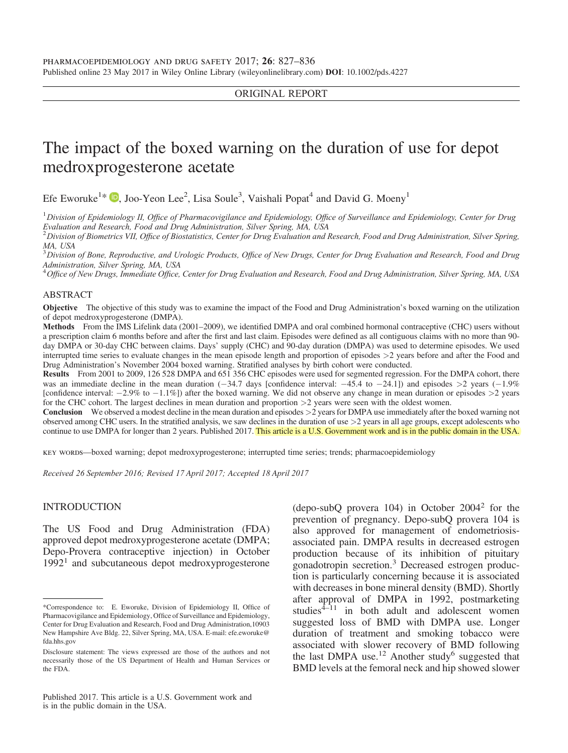## ORIGINAL REPORT

# The impact of the boxed warning on the duration of use for depot medroxprogesterone acetate

Efe Eworuke<sup>1\*</sup>  $\bullet$ [,](http://orcid.org/0000-0001-8971-9748) Joo-Yeon Lee<sup>2</sup>, Lisa Soule<sup>3</sup>, Vaishali Popat<sup>4</sup> and David G. Moeny<sup>1</sup>

 $^1$ Division of Epidemiology II, Office of Pharmacovigilance and Epidemiology, Office of Surveillance and Epidemiology, Center for Drug Evaluation and Research, Food and Drug Administration, Silver Spring, MA, USA

 $^2$ Division of Biometrics VII, Office of Biostatistics, Center for Drug Evaluation and Research, Food and Drug Administration, Silver Spring, MA, USA

 $^3$ Division of Bone, Reproductive, and Urologic Products, Office of New Drugs, Center for Drug Evaluation and Research, Food and Drug Administration, Silver Spring, MA, USA

<sup>4</sup> Office of New Drugs, Immediate Office, Center for Drug Evaluation and Research, Food and Drug Administration, Silver Spring, MA, USA

#### ABSTRACT

Objective The objective of this study was to examine the impact of the Food and Drug Administration's boxed warning on the utilization of depot medroxyprogesterone (DMPA).

Methods From the IMS Lifelink data (2001–2009), we identified DMPA and oral combined hormonal contraceptive (CHC) users without a prescription claim 6 months before and after the first and last claim. Episodes were defined as all contiguous claims with no more than 90 day DMPA or 30-day CHC between claims. Days' supply (CHC) and 90-day duration (DMPA) was used to determine episodes. We used interrupted time series to evaluate changes in the mean episode length and proportion of episodes >2 years before and after the Food and Drug Administration's November 2004 boxed warning. Stratified analyses by birth cohort were conducted.

Results From 2001 to 2009, 126 528 DMPA and 651 356 CHC episodes were used for segmented regression. For the DMPA cohort, there was an immediate decline in the mean duration  $(-34.7 \text{ days}$  [confidence interval:  $-45.4$  to  $-24.1$ ]) and episodes  $>2$  years  $(-1.9\%$ [confidence interval:  $-2.9\%$  to  $-1.1\%$ ]) after the boxed warning. We did not observe any change in mean duration or episodes  $>2$  years for the CHC cohort. The largest declines in mean duration and proportion  $>2$  years were seen with the oldest women.

Conclusion We observed a modest decline in the mean duration and episodes >2 years for DMPA use immediately after the boxed warning not observed among CHC users. In the stratified analysis, we saw declines in the duration of use >2 years in all age groups, except adolescents who continue to use DMPA for longer than 2 years. Published 2017. This article is a U.S. Government work and is in the public domain in the USA.

key words—boxed warning; depot medroxyprogesterone; interrupted time series; trends; pharmacoepidemiology

Received 26 September 2016; Revised 17 April 2017; Accepted 18 April 2017

#### INTRODUCTION

The US Food and Drug Administration (FDA) approved depot medroxyprogesterone acetate (DMPA; Depo-Provera contraceptive injection) in October  $1992<sup>1</sup>$  and subcutaneous depot medroxyprogesterone (depo-subQ provera 104) in October 20042 for the prevention of pregnancy. Depo-subQ provera 104 is also approved for management of endometriosisassociated pain. DMPA results in decreased estrogen production because of its inhibition of pituitary gonadotropin secretion.<sup>3</sup> Decreased estrogen production is particularly concerning because it is associated with decreases in bone mineral density (BMD). Shortly after approval of DMPA in 1992, postmarketing studies $4\overline{-11}$  in both adult and adolescent women suggested loss of BMD with DMPA use. Longer duration of treatment and smoking tobacco were associated with slower recovery of BMD following the last DMPA use.<sup>12</sup> Another study<sup>6</sup> suggested that BMD levels at the femoral neck and hip showed slower

<sup>\*</sup>Correspondence to: E. Eworuke, Division of Epidemiology II, Office of Pharmacovigilance and Epidemiology, Office of Surveillance and Epidemiology, Center for Drug Evaluation and Research, Food and Drug Administration,10903 New Hampshire Ave Bldg. 22, Silver Spring, MA, USA. E-mail: efe.eworuke@ fda.hhs.gov

Disclosure statement: The views expressed are those of the authors and not necessarily those of the US Department of Health and Human Services or the FDA.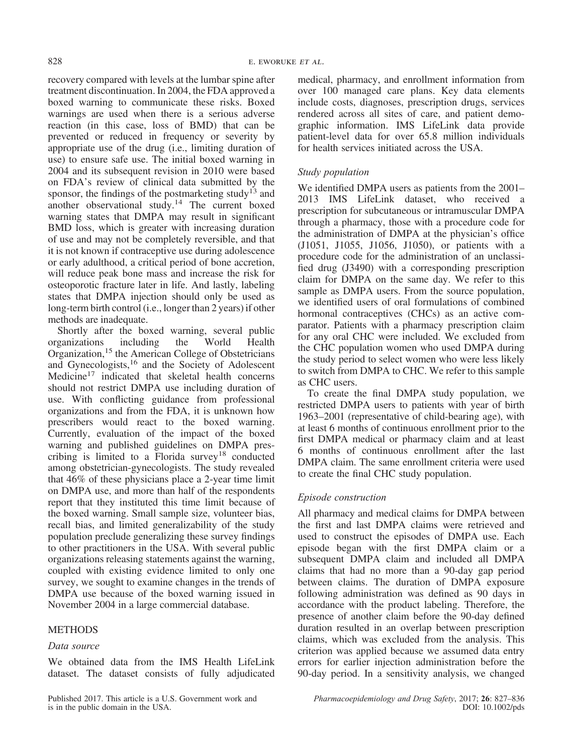recovery compared with levels at the lumbar spine after treatment discontinuation. In 2004, the FDA approved a boxed warning to communicate these risks. Boxed warnings are used when there is a serious adverse reaction (in this case, loss of BMD) that can be prevented or reduced in frequency or severity by appropriate use of the drug (i.e., limiting duration of use) to ensure safe use. The initial boxed warning in 2004 and its subsequent revision in 2010 were based on FDA's review of clinical data submitted by the sponsor, the findings of the postmarketing study<sup>13</sup> and another observational study.<sup>14</sup> The current boxed warning states that DMPA may result in significant BMD loss, which is greater with increasing duration of use and may not be completely reversible, and that it is not known if contraceptive use during adolescence or early adulthood, a critical period of bone accretion, will reduce peak bone mass and increase the risk for osteoporotic fracture later in life. And lastly, labeling states that DMPA injection should only be used as long-term birth control (i.e., longer than 2 years) if other methods are inadequate.

Shortly after the boxed warning, several public organizations including the World Health Organization,<sup>15</sup> the American College of Obstetricians and Gynecologists,<sup>16</sup> and the Society of Adolescent Medicine<sup>17</sup> indicated that skeletal health concerns should not restrict DMPA use including duration of use. With conflicting guidance from professional organizations and from the FDA, it is unknown how prescribers would react to the boxed warning. Currently, evaluation of the impact of the boxed warning and published guidelines on DMPA prescribing is limited to a Florida survey<sup>18</sup> conducted among obstetrician-gynecologists. The study revealed that 46% of these physicians place a 2-year time limit on DMPA use, and more than half of the respondents report that they instituted this time limit because of the boxed warning. Small sample size, volunteer bias, recall bias, and limited generalizability of the study population preclude generalizing these survey findings to other practitioners in the USA. With several public organizations releasing statements against the warning, coupled with existing evidence limited to only one survey, we sought to examine changes in the trends of DMPA use because of the boxed warning issued in November 2004 in a large commercial database.

# METHODS

# Data source

We obtained data from the IMS Health LifeLink dataset. The dataset consists of fully adjudicated

Published 2017. This article is a U.S. Government work and is in the public domain in the USA.

medical, pharmacy, and enrollment information from over 100 managed care plans. Key data elements include costs, diagnoses, prescription drugs, services rendered across all sites of care, and patient demographic information. IMS LifeLink data provide patient-level data for over 65.8 million individuals for health services initiated across the USA.

# Study population

We identified DMPA users as patients from the 2001– 2013 IMS LifeLink dataset, who received a prescription for subcutaneous or intramuscular DMPA through a pharmacy, those with a procedure code for the administration of DMPA at the physician's office (J1051, J1055, J1056, J1050), or patients with a procedure code for the administration of an unclassified drug (J3490) with a corresponding prescription claim for DMPA on the same day. We refer to this sample as DMPA users. From the source population, we identified users of oral formulations of combined hormonal contraceptives (CHCs) as an active comparator. Patients with a pharmacy prescription claim for any oral CHC were included. We excluded from the CHC population women who used DMPA during the study period to select women who were less likely to switch from DMPA to CHC. We refer to this sample as CHC users.

To create the final DMPA study population, we restricted DMPA users to patients with year of birth 1963–2001 (representative of child-bearing age), with at least 6 months of continuous enrollment prior to the first DMPA medical or pharmacy claim and at least 6 months of continuous enrollment after the last DMPA claim. The same enrollment criteria were used to create the final CHC study population.

# Episode construction

All pharmacy and medical claims for DMPA between the first and last DMPA claims were retrieved and used to construct the episodes of DMPA use. Each episode began with the first DMPA claim or a subsequent DMPA claim and included all DMPA claims that had no more than a 90-day gap period between claims. The duration of DMPA exposure following administration was defined as 90 days in accordance with the product labeling. Therefore, the presence of another claim before the 90-day defined duration resulted in an overlap between prescription claims, which was excluded from the analysis. This criterion was applied because we assumed data entry errors for earlier injection administration before the 90-day period. In a sensitivity analysis, we changed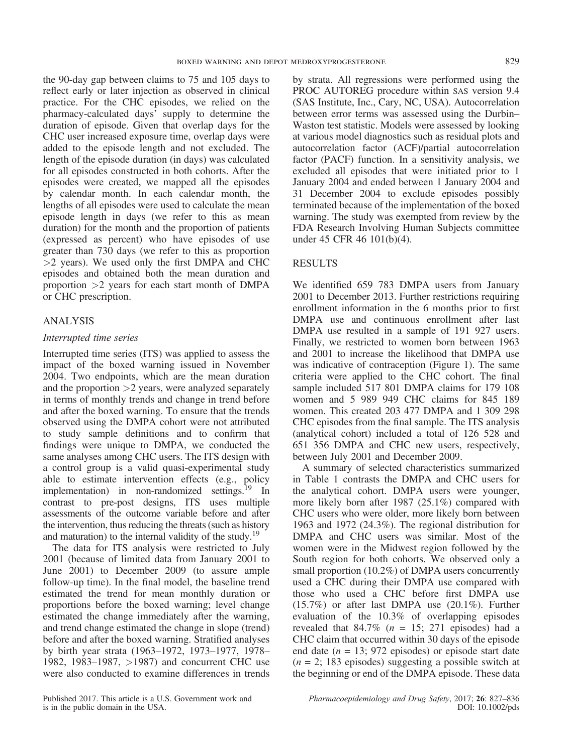the 90-day gap between claims to 75 and 105 days to reflect early or later injection as observed in clinical practice. For the CHC episodes, we relied on the pharmacy-calculated days' supply to determine the duration of episode. Given that overlap days for the CHC user increased exposure time, overlap days were added to the episode length and not excluded. The length of the episode duration (in days) was calculated for all episodes constructed in both cohorts. After the episodes were created, we mapped all the episodes by calendar month. In each calendar month, the lengths of all episodes were used to calculate the mean episode length in days (we refer to this as mean duration) for the month and the proportion of patients (expressed as percent) who have episodes of use greater than 730 days (we refer to this as proportion  $>2$  years). We used only the first DMPA and CHC episodes and obtained both the mean duration and proportion >2 years for each start month of DMPA or CHC prescription.

# ANALYSIS

## Interrupted time series

Interrupted time series (ITS) was applied to assess the impact of the boxed warning issued in November 2004. Two endpoints, which are the mean duration and the proportion  $>2$  years, were analyzed separately in terms of monthly trends and change in trend before and after the boxed warning. To ensure that the trends observed using the DMPA cohort were not attributed to study sample definitions and to confirm that findings were unique to DMPA, we conducted the same analyses among CHC users. The ITS design with a control group is a valid quasi-experimental study able to estimate intervention effects (e.g., policy implementation) in non-randomized settings.<sup>19</sup> In contrast to pre-post designs, ITS uses multiple assessments of the outcome variable before and after the intervention, thus reducing the threats (such as history and maturation) to the internal validity of the study.<sup>19</sup>

The data for ITS analysis were restricted to July 2001 (because of limited data from January 2001 to June 2001) to December 2009 (to assure ample follow-up time). In the final model, the baseline trend estimated the trend for mean monthly duration or proportions before the boxed warning; level change estimated the change immediately after the warning, and trend change estimated the change in slope (trend) before and after the boxed warning. Stratified analyses by birth year strata (1963–1972, 1973–1977, 1978– 1982, 1983–1987, >1987) and concurrent CHC use were also conducted to examine differences in trends

Published 2017. This article is a U.S. Government work and is in the public domain in the USA.

by strata. All regressions were performed using the PROC AUTOREG procedure within SAS version 9.4 (SAS Institute, Inc., Cary, NC, USA). Autocorrelation between error terms was assessed using the Durbin– Waston test statistic. Models were assessed by looking at various model diagnostics such as residual plots and autocorrelation factor (ACF)/partial autocorrelation factor (PACF) function. In a sensitivity analysis, we excluded all episodes that were initiated prior to 1 January 2004 and ended between 1 January 2004 and 31 December 2004 to exclude episodes possibly terminated because of the implementation of the boxed warning. The study was exempted from review by the FDA Research Involving Human Subjects committee under 45 CFR 46 101(b)(4).

# RESULTS

We identified 659 783 DMPA users from January 2001 to December 2013. Further restrictions requiring enrollment information in the 6 months prior to first DMPA use and continuous enrollment after last DMPA use resulted in a sample of 191 927 users. Finally, we restricted to women born between 1963 and 2001 to increase the likelihood that DMPA use was indicative of contraception (Figure 1). The same criteria were applied to the CHC cohort. The final sample included 517 801 DMPA claims for 179 108 women and 5 989 949 CHC claims for 845 189 women. This created 203 477 DMPA and 1 309 298 CHC episodes from the final sample. The ITS analysis (analytical cohort) included a total of 126 528 and 651 356 DMPA and CHC new users, respectively, between July 2001 and December 2009.

A summary of selected characteristics summarized in Table 1 contrasts the DMPA and CHC users for the analytical cohort. DMPA users were younger, more likely born after 1987 (25.1%) compared with CHC users who were older, more likely born between 1963 and 1972 (24.3%). The regional distribution for DMPA and CHC users was similar. Most of the women were in the Midwest region followed by the South region for both cohorts. We observed only a small proportion (10.2%) of DMPA users concurrently used a CHC during their DMPA use compared with those who used a CHC before first DMPA use (15.7%) or after last DMPA use (20.1%). Further evaluation of the 10.3% of overlapping episodes revealed that  $84.7\%$  ( $n = 15$ ; 271 episodes) had a CHC claim that occurred within 30 days of the episode end date ( $n = 13$ ; 972 episodes) or episode start date  $(n = 2; 183$  episodes) suggesting a possible switch at the beginning or end of the DMPA episode. These data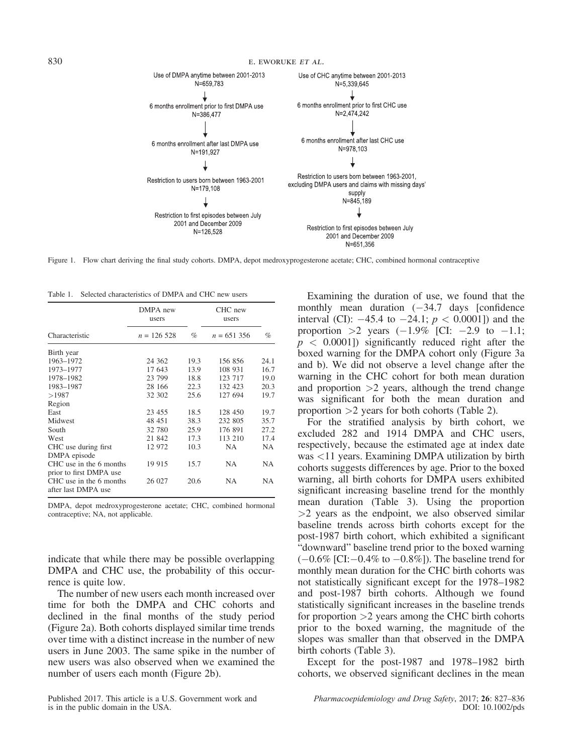

Figure 1. Flow chart deriving the final study cohorts. DMPA, depot medroxyprogesterone acetate; CHC, combined hormonal contraceptive

Table 1. Selected characteristics of DMPA and CHC new users

|                                                    | DMPA new<br>users |      | CHC new<br>users |      |
|----------------------------------------------------|-------------------|------|------------------|------|
| Characteristic                                     | $n = 126528$      | $\%$ | $n = 651356$     | %    |
| Birth year                                         |                   |      |                  |      |
| 1963-1972                                          | 24 3 62           | 19.3 | 156 856          | 24.1 |
| 1973-1977                                          | 17 643            | 13.9 | 108 931          | 16.7 |
| 1978-1982                                          | 23 799            | 18.8 | 123 717          | 19.0 |
| 1983-1987                                          | 28 16 6           | 22.3 | 132 423          | 20.3 |
| >1987                                              | 32 302            | 25.6 | 127 694          | 19.7 |
| Region                                             |                   |      |                  |      |
| East                                               | 23 455            | 18.5 | 128 450          | 19.7 |
| Midwest                                            | 48 451            | 38.3 | 232 805          | 35.7 |
| South                                              | 32 780            | 25.9 | 176 891          | 27.2 |
| West                                               | 21 842            | 17.3 | 113 210          | 17.4 |
| CHC use during first<br>DMPA episode               | 12 972            | 10.3 | NA               | NA   |
| CHC use in the 6 months<br>prior to first DMPA use | 19 9 15           | 15.7 | NA.              | NA   |
| CHC use in the 6 months<br>after last DMPA use     | 26 027            | 20.6 | NA               | NA   |

DMPA, depot medroxyprogesterone acetate; CHC, combined hormonal contraceptive; NA, not applicable.

indicate that while there may be possible overlapping DMPA and CHC use, the probability of this occurrence is quite low.

The number of new users each month increased over time for both the DMPA and CHC cohorts and declined in the final months of the study period (Figure 2a). Both cohorts displayed similar time trends over time with a distinct increase in the number of new users in June 2003. The same spike in the number of new users was also observed when we examined the number of users each month (Figure 2b).

Examining the duration of use, we found that the monthly mean duration  $(-34.7 \text{ days}$  [confidence interval (CI):  $-45.4$  to  $-24.1$ ;  $p < 0.0001$ ]) and the proportion  $>2$  years  $(-1.9\%$  [CI:  $-2.9$  to  $-1.1$ ;  $p < 0.0001$ ]) significantly reduced right after the boxed warning for the DMPA cohort only (Figure 3a and b). We did not observe a level change after the warning in the CHC cohort for both mean duration and proportion  $>2$  years, although the trend change was significant for both the mean duration and proportion >2 years for both cohorts (Table 2).

For the stratified analysis by birth cohort, we excluded 282 and 1914 DMPA and CHC users, respectively, because the estimated age at index date was <11 years. Examining DMPA utilization by birth cohorts suggests differences by age. Prior to the boxed warning, all birth cohorts for DMPA users exhibited significant increasing baseline trend for the monthly mean duration (Table 3). Using the proportion  $>$ 2 years as the endpoint, we also observed similar baseline trends across birth cohorts except for the post-1987 birth cohort, which exhibited a significant "downward" baseline trend prior to the boxed warning  $(-0.6\%$  [CI: $-0.4\%$  to  $-0.8\%$ ]). The baseline trend for monthly mean duration for the CHC birth cohorts was not statistically significant except for the 1978–1982 and post-1987 birth cohorts. Although we found statistically significant increases in the baseline trends for proportion  $>2$  years among the CHC birth cohorts prior to the boxed warning, the magnitude of the slopes was smaller than that observed in the DMPA birth cohorts (Table 3).

Except for the post-1987 and 1978–1982 birth cohorts, we observed significant declines in the mean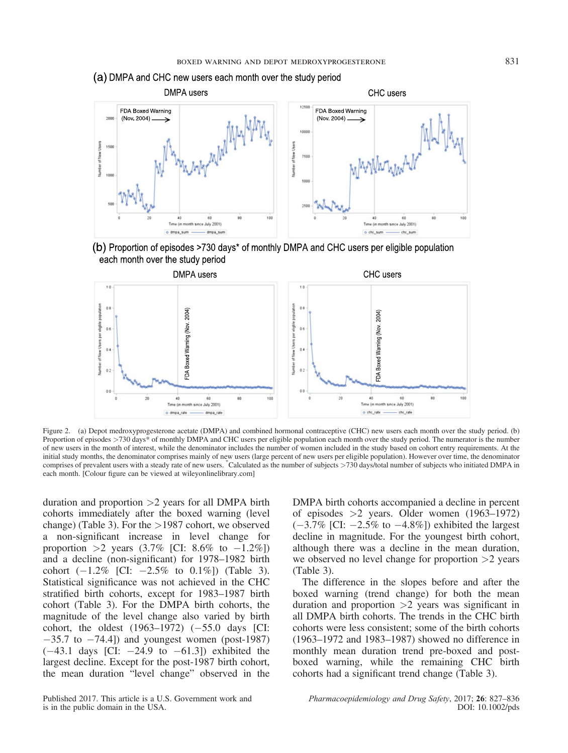



(b) Proportion of episodes >730 days\* of monthly DMPA and CHC users per eligible population each month over the study period



Figure 2. (a) Depot medroxyprogesterone acetate (DMPA) and combined hormonal contraceptive (CHC) new users each month over the study period. (b) Proportion of episodes >730 days\* of monthly DMPA and CHC users per eligible population each month over the study period. The numerator is the number of new users in the month of interest, while the denominator includes the number of women included in the study based on cohort entry requirements. At the initial study months, the denominator comprises mainly of new users (large percent of new users per eligible population). However over time, the denominator comprises of prevalent users with a steady rate of new users. \* Calculated as the number of subjects >730 days/total number of subjects who initiated DMPA in each month. [Colour figure can be viewed at [wileyonlinelibrary.com\]](http://wileyonlinelibrary.com)

duration and proportion  $>2$  years for all DMPA birth cohorts immediately after the boxed warning (level change) (Table 3). For the >1987 cohort, we observed a non-significant increase in level change for proportion >2 years  $(3.7\%$  [CI: 8.6% to  $-1.2\%$ ]) and a decline (non-significant) for 1978–1982 birth cohort  $(-1.2\%$  [CI:  $-2.5\%$  to 0.1%]) (Table 3). Statistical significance was not achieved in the CHC stratified birth cohorts, except for 1983–1987 birth cohort (Table 3). For the DMPA birth cohorts, the magnitude of the level change also varied by birth cohort, the oldest  $(1963-1972)$   $(-55.0$  days [CI:  $-35.7$  to  $-74.4$ ]) and youngest women (post-1987)  $(-43.1 \text{ days}$  [CI:  $-24.9 \text{ to } -61.3$ ]) exhibited the largest decline. Except for the post-1987 birth cohort, the mean duration "level change" observed in the DMPA birth cohorts accompanied a decline in percent of episodes >2 years. Older women (1963–1972)  $(-3.7\%$  [CI:  $-2.5\%$  to  $-4.8\%$ ]) exhibited the largest decline in magnitude. For the youngest birth cohort, although there was a decline in the mean duration, we observed no level change for proportion  $>2$  years (Table 3).

The difference in the slopes before and after the boxed warning (trend change) for both the mean duration and proportion  $>2$  years was significant in all DMPA birth cohorts. The trends in the CHC birth cohorts were less consistent; some of the birth cohorts (1963–1972 and 1983–1987) showed no difference in monthly mean duration trend pre-boxed and postboxed warning, while the remaining CHC birth cohorts had a significant trend change (Table 3).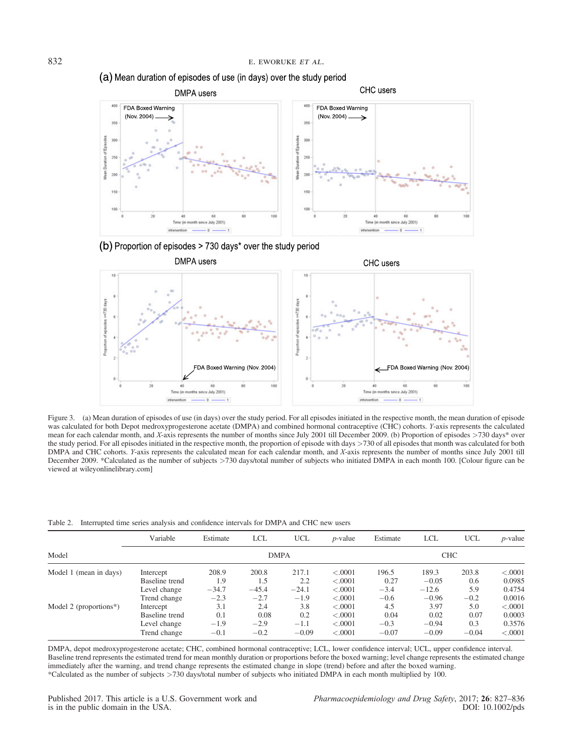



(b) Proportion of episodes > 730 days\* over the study period



Figure 3. (a) Mean duration of episodes of use (in days) over the study period. For all episodes initiated in the respective month, the mean duration of episode was calculated for both Depot medroxyprogesterone acetate (DMPA) and combined hormonal contraceptive (CHC) cohorts. Y-axis represents the calculated mean for each calendar month, and X-axis represents the number of months since July 2001 till December 2009. (b) Proportion of episodes >730 days\* over the study period. For all episodes initiated in the respective month, the proportion of episode with days >730 of all episodes that month was calculated for both DMPA and CHC cohorts. Y-axis represents the calculated mean for each calendar month, and X-axis represents the number of months since July 2001 till December 2009. \*Calculated as the number of subjects >730 days/total number of subjects who initiated DMPA in each month 100. [Colour figure can be viewed at [wileyonlinelibrary.com](http://wileyonlinelibrary.com)]

Table 2. Interrupted time series analysis and confidence intervals for DMPA and CHC new users

|                        | Variable       | Estimate | <b>LCL</b>  | <b>UCL</b> | $p$ -value | Estimate | <b>LCL</b> | <b>UCL</b> | $p$ -value |
|------------------------|----------------|----------|-------------|------------|------------|----------|------------|------------|------------|
| Model                  |                |          | <b>DMPA</b> |            |            |          | <b>CHC</b> |            |            |
| Model 1 (mean in days) | Intercept      | 208.9    | 200.8       | 217.1      | < .0001    | 196.5    | 189.3      | 203.8      | < .0001    |
|                        | Baseline trend | 1.9      | 1.5         | 2.2        | < .0001    | 0.27     | $-0.05$    | 0.6        | 0.0985     |
|                        | Level change   | $-34.7$  | $-45.4$     | $-24.1$    | < .0001    | $-3.4$   | $-12.6$    | 5.9        | 0.4754     |
|                        | Trend change   | $-2.3$   | $-2.7$      | $-1.9$     | < .0001    | $-0.6$   | $-0.96$    | $-0.2$     | 0.0016     |
| Model 2 (proportions*) | Intercept      | 3.1      | 2.4         | 3.8        | < .0001    | 4.5      | 3.97       | 5.0        | < .0001    |
|                        | Baseline trend | 0.1      | 0.08        | 0.2        | < .0001    | 0.04     | 0.02       | 0.07       | 0.0003     |
|                        | Level change   | $-1.9$   | $-2.9$      | $-1.1$     | < .0001    | $-0.3$   | $-0.94$    | 0.3        | 0.3576     |
|                        | Trend change   | $-0.1$   | $-0.2$      | $-0.09$    | < .0001    | $-0.07$  | $-0.09$    | $-0.04$    | < .0001    |

DMPA, depot medroxyprogesterone acetate; CHC, combined hormonal contraceptive; LCL, lower confidence interval; UCL, upper confidence interval. Baseline trend represents the estimated trend for mean monthly duration or proportions before the boxed warning; level change represents the estimated change immediately after the warning, and trend change represents the estimated change in slope (trend) before and after the boxed warning. \*Calculated as the number of subjects >730 days/total number of subjects who initiated DMPA in each month multiplied by 100.

Published 2017. This article is a U.S. Government work and is in the public domain in the USA.

Pharmacoepidemiology and Drug Safety, 2017; 26: 827–836 DOI: 10.1002/pds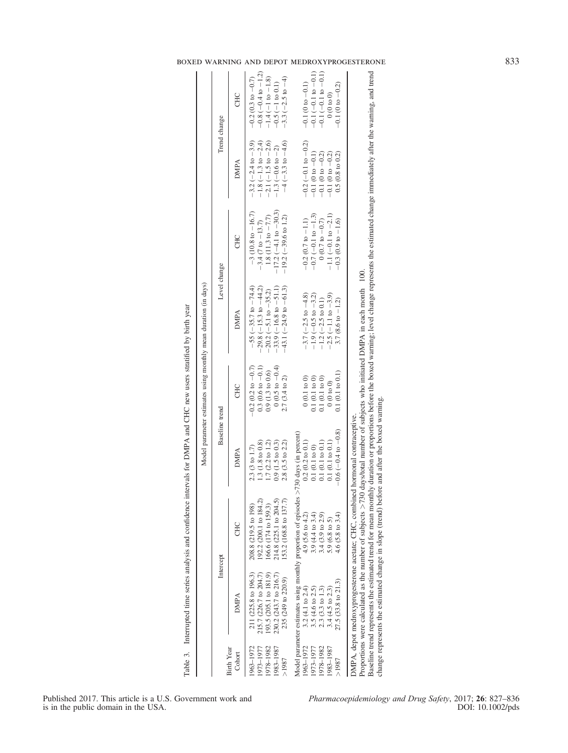|                             |                               | Intercept                                                                                   | Baseline trend             |                             | Level change                                                                                                                                                                                                                                                                  |                               | Trend change                  |                             |
|-----------------------------|-------------------------------|---------------------------------------------------------------------------------------------|----------------------------|-----------------------------|-------------------------------------------------------------------------------------------------------------------------------------------------------------------------------------------------------------------------------------------------------------------------------|-------------------------------|-------------------------------|-----------------------------|
| <b>Birth Year</b><br>Cohort | DMPA                          | CHC                                                                                         | DMPA                       | CHC                         | DMPA                                                                                                                                                                                                                                                                          | CHC                           | DMPA                          | CHC                         |
| 963-1972                    | 211 (225.8 to 196.3)          | 208.8 (219.5 to 198)                                                                        | 2.3(3 to 1.7)              | $-0.2$ (0.2 to $-0.7$ )     | $-55 (-35.7 \text{ to } -74.4)$                                                                                                                                                                                                                                               | $-3$ (10.8 to $-16.7$ )       | $-3.2(-2.4 \text{ to } -3.9)$ | $-0.2$ (0.3 to $-0.7$ )     |
| 1973-1977                   | 215.7 (226.7 to 204.7)        | 192.2 (200.1 to 184.2)                                                                      | 1.3 (1.8 to 0.8)           | $0.3(0.6 \text{ to } -0.1)$ | 29.8 $(-15.3 \text{ to } -44.2)$                                                                                                                                                                                                                                              | $-3.4$ (7 to $-13.7$ )        | $-1.8$ (-1.3 to $-2.4$ )      | $-0.8$ $(-0.4$ to $-1.2)$   |
| 1978-1982                   | 93.5 (205.1 to 181.9)         | 166.6 (174 to 159.3)                                                                        | $1.7$ $(2.2$ to $1.2)$     | $0.9(1.3 \text{ to } 0.6)$  | $20.2 (-5.1$ to $-35.2)$                                                                                                                                                                                                                                                      | 1.8 $(11.3$ to $-7.7)$        | $-2.1(-1.5 \text{ to } -2.6)$ | $-1.4 (-1 to -1.8)$         |
| 1983-1987                   | 230.2 (243.7 to 216.7)        | 214.8 (225.1 to 204.5)                                                                      | $0.9(1.5 \text{ to } 0.3)$ | $0(0.5 \text{ to } -0.4)$   | $-33.9(-16.8 \text{ to } -51.1)$                                                                                                                                                                                                                                              | $-17.2$ ( $-4.1$ to $-30.3$ ) | $-1.3(-0.6 \text{ to } -2)$   | $-0.5(-1)$ to $0.1$ )       |
| >1987                       | 235 (249 to 220.9)            | 153.2 (168.8 to 137.7)                                                                      | $2.8$ $(3.5$ to $2.2)$     | $2.7(3.4 \text{ to } 2)$    | $-43.1(-24.9 \text{ to } -61.3)$                                                                                                                                                                                                                                              | $-19.2$ ( $-39.6$ to 1.2)     | $-4$ ( $-3.3$ to $-4.6$ )     | $-3.3(-2.5 \text{ to } -4)$ |
|                             |                               | Model parameter estimates using monthly proportion of episodes >                            | >730 days (in percent)     |                             |                                                                                                                                                                                                                                                                               |                               |                               |                             |
| 1963-1972                   | $3.2(4.1 \text{ to } 2.4)$    | $4.9(5.6 \text{ to } 4.2)$                                                                  | $0.2(0.2 \text{ to } 0.1)$ | 0(0.1 to 0)                 | $-3.7(-2.5 \text{ to } -4.8)$                                                                                                                                                                                                                                                 | $-0.2$ (0.7 to $-1.1$ )       | $-0.2(-0.1$ to $-0.2)$        | $-0.1$ (0 to $-0.1$ )       |
| 1973–1977                   | $3.5(4.6 \text{ to } 2.5)$    | $3.9(4.4 \text{ to } 3.4)$                                                                  | 0.1(0.1 to 0)              | 0.1(0.1 to 0)               | $-1.9(-0.5$ to $-3.2)$                                                                                                                                                                                                                                                        | $-0.7(-0.1$ to $-1.3)$        | $-0.1(0 to -0.1)$             | $-0.1(-0.1 to -0.1)$        |
| 1978-1982                   | $2.3(3.3 \text{ to } 1.3)$    | $3.4(3.9 \text{ to } 2.9)$                                                                  | 0.1(0.1 to 0.1)            | 0.1(0.1 to 0)               | $-1.2 (-2.5 \text{ to } 0.1)$                                                                                                                                                                                                                                                 | $0(0.7 \text{ to } -0.7)$     | $-0.1(0 to -0.2)$             | $-0.1(-0.1 to -0.1)$        |
| 1983-1987                   | $3.4(4.5 \text{ to } 2.3)$    | $5.9(6.8 \text{ to } 5)$                                                                    | $0.1(0.1 \text{ to } 0.1)$ | 0(0 to 0)                   | $-2.5(-1.1$ to $-3.9)$                                                                                                                                                                                                                                                        | $-1.1(-0.1 to -2.1)$          | $-0.1(0 to -0.2)$             | $00$ to $00$                |
| >1987                       | $27.5(33.8 \text{ to } 21.3)$ | 4.6 $(5.8 \text{ to } 3.4)$                                                                 | $-0.6(-0.4 to -0.8)$       | 0.1(0.1 to 0.1)             | 3.7 (8.6 to $-1.2$ )                                                                                                                                                                                                                                                          | $-0.3$ (0.9 to $-1.6$ )       | $0.5(0.8 \text{ to } 0.2)$    | $-0.1$ (0 to $-0.2$ )       |
|                             |                               | DMPA, depot medroxyprogesterone acetate; CHC, combined hormonal contraceptive.              |                            |                             |                                                                                                                                                                                                                                                                               |                               |                               |                             |
|                             |                               | Proportions were calculated as the number of subjects $> 730$                               |                            |                             | Baseline trend represents the estimated trend for mean monthly duration or proportions before the boxed warning; level change represents the estimated change immediately after the warning, and trend<br>days/total number of subjects who initiated DMPA in each month 100. |                               |                               |                             |
|                             |                               | change represents the estimated change in slope (trend) before and after the boxed warning. |                            |                             |                                                                                                                                                                                                                                                                               |                               |                               |                             |

# boxed warning and depot medroxyprogesterone 833

Published 2017. This article is a U.S. Government work and is in the public domain in the USA.

Table 3. Interrupted time series analysis and confidence intervals for DMPA and CHC new users stratified by birth year

Table 3. Interrupted time series analysis and confidence intervals for DMPA and CHC new users stratified by birth year

Pharmacoepidemiology and Drug Safety, 2017; 26: 827-836 DOI: 10.1002/pds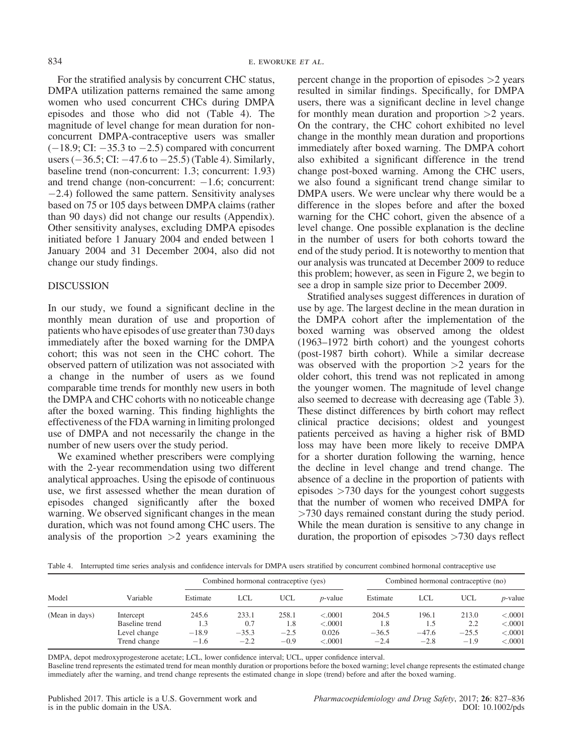For the stratified analysis by concurrent CHC status, DMPA utilization patterns remained the same among women who used concurrent CHCs during DMPA episodes and those who did not (Table 4). The magnitude of level change for mean duration for nonconcurrent DMPA-contraceptive users was smaller  $(-18.9; \text{CI}: -35.3 \text{ to } -2.5)$  compared with concurrent users  $(-36.5;$  CI:  $-47.6$  to  $-25.5$ ) (Table 4). Similarly, baseline trend (non-concurrent: 1.3; concurrent: 1.93) and trend change (non-concurrent:  $-1.6$ ; concurrent:  $-2.4$ ) followed the same pattern. Sensitivity analyses based on 75 or 105 days between DMPA claims (rather than 90 days) did not change our results (Appendix). Other sensitivity analyses, excluding DMPA episodes initiated before 1 January 2004 and ended between 1 January 2004 and 31 December 2004, also did not change our study findings.

#### DISCUSSION

In our study, we found a significant decline in the monthly mean duration of use and proportion of patients who have episodes of use greater than 730 days immediately after the boxed warning for the DMPA cohort; this was not seen in the CHC cohort. The observed pattern of utilization was not associated with a change in the number of users as we found comparable time trends for monthly new users in both the DMPA and CHC cohorts with no noticeable change after the boxed warning. This finding highlights the effectiveness of the FDA warning in limiting prolonged use of DMPA and not necessarily the change in the number of new users over the study period.

We examined whether prescribers were complying with the 2-year recommendation using two different analytical approaches. Using the episode of continuous use, we first assessed whether the mean duration of episodes changed significantly after the boxed warning. We observed significant changes in the mean duration, which was not found among CHC users. The analysis of the proportion  $>2$  years examining the

percent change in the proportion of episodes  $>2$  years resulted in similar findings. Specifically, for DMPA users, there was a significant decline in level change for monthly mean duration and proportion >2 years. On the contrary, the CHC cohort exhibited no level change in the monthly mean duration and proportions immediately after boxed warning. The DMPA cohort also exhibited a significant difference in the trend change post-boxed warning. Among the CHC users, we also found a significant trend change similar to DMPA users. We were unclear why there would be a difference in the slopes before and after the boxed warning for the CHC cohort, given the absence of a level change. One possible explanation is the decline in the number of users for both cohorts toward the end of the study period. It is noteworthy to mention that our analysis was truncated at December 2009 to reduce this problem; however, as seen in Figure 2, we begin to see a drop in sample size prior to December 2009.

Stratified analyses suggest differences in duration of use by age. The largest decline in the mean duration in the DMPA cohort after the implementation of the boxed warning was observed among the oldest (1963–1972 birth cohort) and the youngest cohorts (post-1987 birth cohort). While a similar decrease was observed with the proportion  $>2$  years for the older cohort, this trend was not replicated in among the younger women. The magnitude of level change also seemed to decrease with decreasing age (Table 3). These distinct differences by birth cohort may reflect clinical practice decisions; oldest and youngest patients perceived as having a higher risk of BMD loss may have been more likely to receive DMPA for a shorter duration following the warning, hence the decline in level change and trend change. The absence of a decline in the proportion of patients with episodes  $>730$  days for the youngest cohort suggests that the number of women who received DMPA for >730 days remained constant during the study period. While the mean duration is sensitive to any change in duration, the proportion of episodes  $>730$  days reflect

Table 4. Interrupted time series analysis and confidence intervals for DMPA users stratified by concurrent combined hormonal contraceptive use

|                |                                                             | Combined hormonal contraceptive (yes) |                                   |                                  |                                        | Combined hormonal contraceptive (no) |                                   |                                   |                                          |
|----------------|-------------------------------------------------------------|---------------------------------------|-----------------------------------|----------------------------------|----------------------------------------|--------------------------------------|-----------------------------------|-----------------------------------|------------------------------------------|
| Model          | Variable                                                    | Estimate                              | LCL                               | UCL                              | <i>p</i> -value                        | Estimate                             | LCL                               | <b>UCL</b>                        | <i>p</i> -value                          |
| (Mean in days) | Intercept<br>Baseline trend<br>Level change<br>Trend change | 245.6<br>1.3<br>$-18.9$<br>$-1.6$     | 233.1<br>0.7<br>$-35.3$<br>$-2.2$ | 258.1<br>1.8<br>$-2.5$<br>$-0.9$ | < .0001<br>< .0001<br>0.026<br>< .0001 | 204.5<br>1.8<br>$-36.5$<br>$-2.4$    | 196.1<br>1.5<br>$-47.6$<br>$-2.8$ | 213.0<br>2.2<br>$-25.5$<br>$-1.9$ | < .0001<br>< .0001<br>< .0001<br>< .0001 |

DMPA, depot medroxyprogesterone acetate; LCL, lower confidence interval; UCL, upper confidence interval.

Baseline trend represents the estimated trend for mean monthly duration or proportions before the boxed warning; level change represents the estimated change immediately after the warning, and trend change represents the estimated change in slope (trend) before and after the boxed warning.

Pharmacoepidemiology and Drug Safety, 2017; 26: 827–836 DOI: 10.1002/pds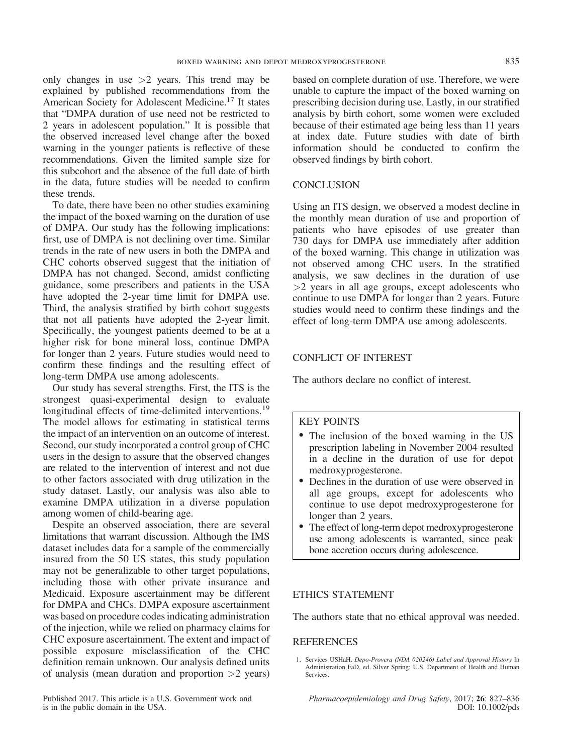only changes in use  $>2$  years. This trend may be explained by published recommendations from the American Society for Adolescent Medicine.17 It states that "DMPA duration of use need not be restricted to 2 years in adolescent population." It is possible that the observed increased level change after the boxed warning in the younger patients is reflective of these recommendations. Given the limited sample size for this subcohort and the absence of the full date of birth in the data, future studies will be needed to confirm these trends.

To date, there have been no other studies examining the impact of the boxed warning on the duration of use of DMPA. Our study has the following implications: first, use of DMPA is not declining over time. Similar trends in the rate of new users in both the DMPA and CHC cohorts observed suggest that the initiation of DMPA has not changed. Second, amidst conflicting guidance, some prescribers and patients in the USA have adopted the 2-year time limit for DMPA use. Third, the analysis stratified by birth cohort suggests that not all patients have adopted the 2-year limit. Specifically, the youngest patients deemed to be at a higher risk for bone mineral loss, continue DMPA for longer than 2 years. Future studies would need to confirm these findings and the resulting effect of long-term DMPA use among adolescents.

Our study has several strengths. First, the ITS is the strongest quasi-experimental design to evaluate longitudinal effects of time-delimited interventions.<sup>19</sup> The model allows for estimating in statistical terms the impact of an intervention on an outcome of interest. Second, our study incorporated a control group of CHC users in the design to assure that the observed changes are related to the intervention of interest and not due to other factors associated with drug utilization in the study dataset. Lastly, our analysis was also able to examine DMPA utilization in a diverse population among women of child-bearing age.

Despite an observed association, there are several limitations that warrant discussion. Although the IMS dataset includes data for a sample of the commercially insured from the 50 US states, this study population may not be generalizable to other target populations, including those with other private insurance and Medicaid. Exposure ascertainment may be different for DMPA and CHCs. DMPA exposure ascertainment was based on procedure codes indicating administration of the injection, while we relied on pharmacy claims for CHC exposure ascertainment. The extent and impact of possible exposure misclassification of the CHC definition remain unknown. Our analysis defined units of analysis (mean duration and proportion  $>2$  years)

based on complete duration of use. Therefore, we were unable to capture the impact of the boxed warning on prescribing decision during use. Lastly, in our stratified analysis by birth cohort, some women were excluded because of their estimated age being less than 11 years at index date. Future studies with date of birth information should be conducted to confirm the observed findings by birth cohort.

### **CONCLUSION**

Using an ITS design, we observed a modest decline in the monthly mean duration of use and proportion of patients who have episodes of use greater than 730 days for DMPA use immediately after addition of the boxed warning. This change in utilization was not observed among CHC users. In the stratified analysis, we saw declines in the duration of use >2 years in all age groups, except adolescents who continue to use DMPA for longer than 2 years. Future studies would need to confirm these findings and the effect of long-term DMPA use among adolescents.

### CONFLICT OF INTEREST

The authors declare no conflict of interest.

#### KEY POINTS

- The inclusion of the boxed warning in the US prescription labeling in November 2004 resulted in a decline in the duration of use for depot medroxyprogesterone.
- Declines in the duration of use were observed in all age groups, except for adolescents who continue to use depot medroxyprogesterone for longer than 2 years.
- The effect of long-term depot medroxyprogesterone use among adolescents is warranted, since peak bone accretion occurs during adolescence.

#### ETHICS STATEMENT

The authors state that no ethical approval was needed.

### REFERENCES

1. Services USHaH. Depo-Provera (NDA 020246) Label and Approval History In Administration FaD, ed. Silver Spring: U.S. Department of Health and Human Services.

Pharmacoepidemiology and Drug Safety, 2017; 26: 827–836 DOI: 10.1002/pds